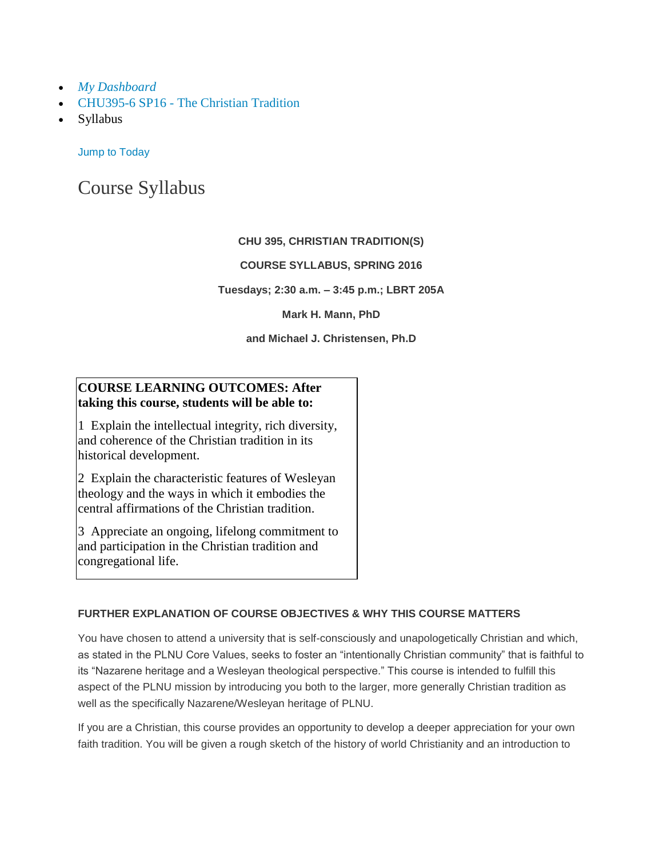- *My [Dashboard](https://canvas.pointloma.edu/)*
- CHU395-6 SP16 [The Christian Tradition](https://canvas.pointloma.edu/courses/27129)
- Syllabus

[Jump to Today](https://canvas.pointloma.edu/courses/27129/assignments/syllabus)

# Course Syllabus

## **CHU 395, CHRISTIAN TRADITION(S)**

## **COURSE SYLLABUS, SPRING 2016**

**Tuesdays; 2:30 a.m. – 3:45 p.m.; LBRT 205A**

#### **Mark H. Mann, PhD**

#### **and Michael J. Christensen, Ph.D**

## **COURSE LEARNING OUTCOMES: After taking this course, students will be able to:**

1 Explain the intellectual integrity, rich diversity, and coherence of the Christian tradition in its historical development.

2 Explain the characteristic features of Wesleyan theology and the ways in which it embodies the central affirmations of the Christian tradition.

3 Appreciate an ongoing, lifelong commitment to and participation in the Christian tradition and congregational life.

## **FURTHER EXPLANATION OF COURSE OBJECTIVES & WHY THIS COURSE MATTERS**

You have chosen to attend a university that is self-consciously and unapologetically Christian and which, as stated in the PLNU Core Values, seeks to foster an "intentionally Christian community" that is faithful to its "Nazarene heritage and a Wesleyan theological perspective." This course is intended to fulfill this aspect of the PLNU mission by introducing you both to the larger, more generally Christian tradition as well as the specifically Nazarene/Wesleyan heritage of PLNU.

If you are a Christian, this course provides an opportunity to develop a deeper appreciation for your own faith tradition. You will be given a rough sketch of the history of world Christianity and an introduction to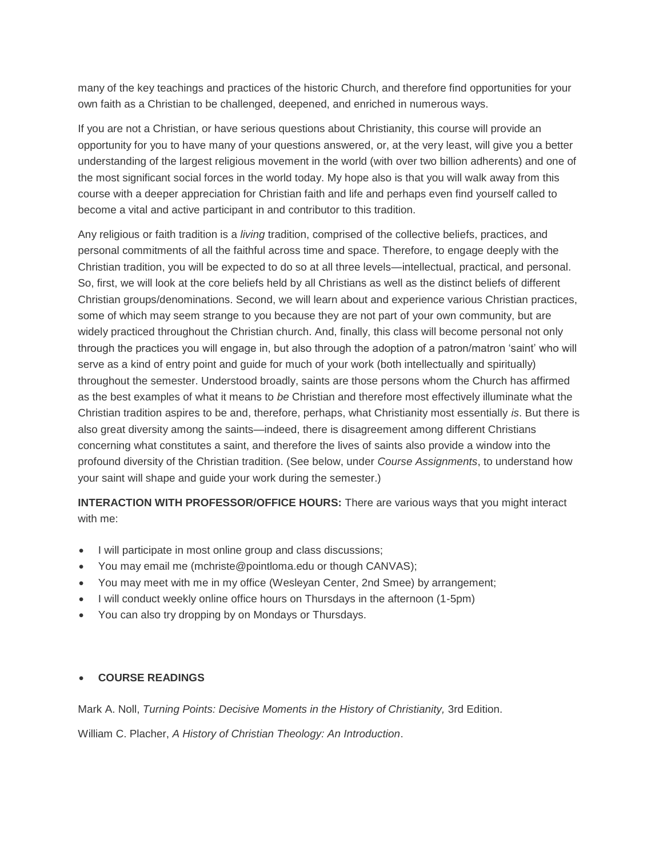many of the key teachings and practices of the historic Church, and therefore find opportunities for your own faith as a Christian to be challenged, deepened, and enriched in numerous ways.

If you are not a Christian, or have serious questions about Christianity, this course will provide an opportunity for you to have many of your questions answered, or, at the very least, will give you a better understanding of the largest religious movement in the world (with over two billion adherents) and one of the most significant social forces in the world today. My hope also is that you will walk away from this course with a deeper appreciation for Christian faith and life and perhaps even find yourself called to become a vital and active participant in and contributor to this tradition.

Any religious or faith tradition is a *living* tradition, comprised of the collective beliefs, practices, and personal commitments of all the faithful across time and space. Therefore, to engage deeply with the Christian tradition, you will be expected to do so at all three levels—intellectual, practical, and personal. So, first, we will look at the core beliefs held by all Christians as well as the distinct beliefs of different Christian groups/denominations. Second, we will learn about and experience various Christian practices, some of which may seem strange to you because they are not part of your own community, but are widely practiced throughout the Christian church. And, finally, this class will become personal not only through the practices you will engage in, but also through the adoption of a patron/matron 'saint' who will serve as a kind of entry point and guide for much of your work (both intellectually and spiritually) throughout the semester. Understood broadly, saints are those persons whom the Church has affirmed as the best examples of what it means to *be* Christian and therefore most effectively illuminate what the Christian tradition aspires to be and, therefore, perhaps, what Christianity most essentially *is*. But there is also great diversity among the saints—indeed, there is disagreement among different Christians concerning what constitutes a saint, and therefore the lives of saints also provide a window into the profound diversity of the Christian tradition. (See below, under *Course Assignments*, to understand how your saint will shape and guide your work during the semester.)

**INTERACTION WITH PROFESSOR/OFFICE HOURS:** There are various ways that you might interact with me:

- I will participate in most online group and class discussions;
- You may email me (mchriste@pointloma.edu or though CANVAS);
- You may meet with me in my office (Wesleyan Center, 2nd Smee) by arrangement;
- I will conduct weekly online office hours on Thursdays in the afternoon (1-5pm)
- You can also try dropping by on Mondays or Thursdays.

#### **COURSE READINGS**

Mark A. Noll, *Turning Points: Decisive Moments in the History of Christianity,* 3rd Edition.

William C. Placher, *A History of Christian Theology: An Introduction*.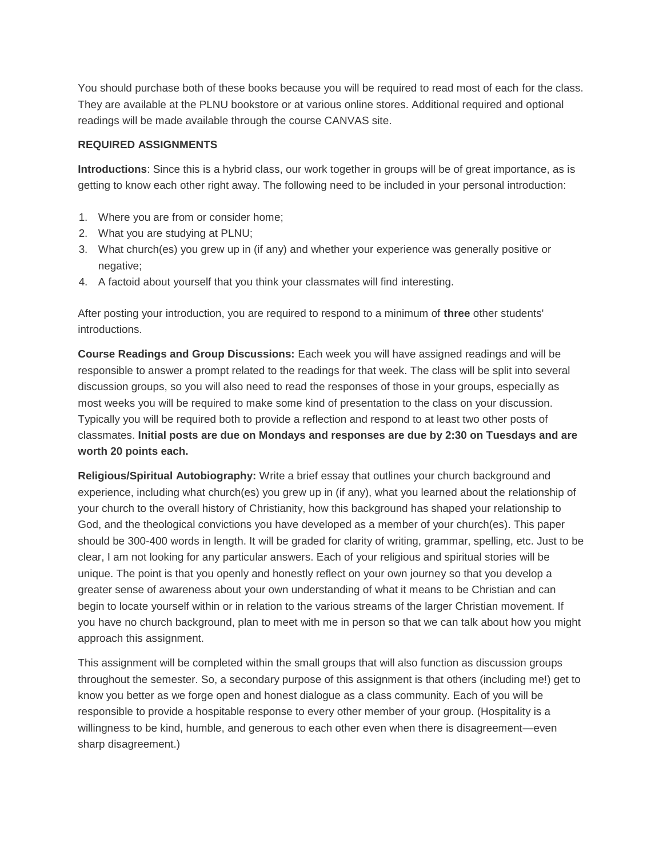You should purchase both of these books because you will be required to read most of each for the class. They are available at the PLNU bookstore or at various online stores. Additional required and optional readings will be made available through the course CANVAS site.

#### **REQUIRED ASSIGNMENTS**

**Introductions**: Since this is a hybrid class, our work together in groups will be of great importance, as is getting to know each other right away. The following need to be included in your personal introduction:

- 1. Where you are from or consider home;
- 2. What you are studying at PLNU;
- 3. What church(es) you grew up in (if any) and whether your experience was generally positive or negative:
- 4. A factoid about yourself that you think your classmates will find interesting.

After posting your introduction, you are required to respond to a minimum of **three** other students' introductions.

**Course Readings and Group Discussions:** Each week you will have assigned readings and will be responsible to answer a prompt related to the readings for that week. The class will be split into several discussion groups, so you will also need to read the responses of those in your groups, especially as most weeks you will be required to make some kind of presentation to the class on your discussion. Typically you will be required both to provide a reflection and respond to at least two other posts of classmates. **Initial posts are due on Mondays and responses are due by 2:30 on Tuesdays and are worth 20 points each.**

**Religious/Spiritual Autobiography:** Write a brief essay that outlines your church background and experience, including what church(es) you grew up in (if any), what you learned about the relationship of your church to the overall history of Christianity, how this background has shaped your relationship to God, and the theological convictions you have developed as a member of your church(es). This paper should be 300-400 words in length. It will be graded for clarity of writing, grammar, spelling, etc. Just to be clear, I am not looking for any particular answers. Each of your religious and spiritual stories will be unique. The point is that you openly and honestly reflect on your own journey so that you develop a greater sense of awareness about your own understanding of what it means to be Christian and can begin to locate yourself within or in relation to the various streams of the larger Christian movement. If you have no church background, plan to meet with me in person so that we can talk about how you might approach this assignment.

This assignment will be completed within the small groups that will also function as discussion groups throughout the semester. So, a secondary purpose of this assignment is that others (including me!) get to know you better as we forge open and honest dialogue as a class community. Each of you will be responsible to provide a hospitable response to every other member of your group. (Hospitality is a willingness to be kind, humble, and generous to each other even when there is disagreement—even sharp disagreement.)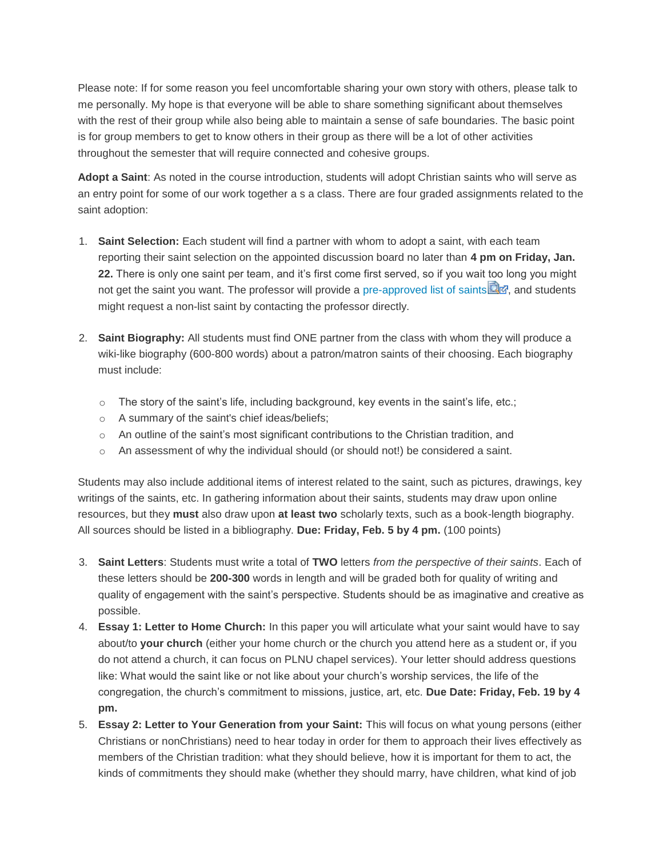Please note: If for some reason you feel uncomfortable sharing your own story with others, please talk to me personally. My hope is that everyone will be able to share something significant about themselves with the rest of their group while also being able to maintain a sense of safe boundaries. The basic point is for group members to get to know others in their group as there will be a lot of other activities throughout the semester that will require connected and cohesive groups.

**Adopt a Saint**: As noted in the course introduction, students will adopt Christian saints who will serve as an entry point for some of our work together a s a class. There are four graded assignments related to the saint adoption:

- 1. **Saint Selection:** Each student will find a partner with whom to adopt a saint, with each team reporting their saint selection on the appointed discussion board no later than **4 pm on Friday, Jan. 22.** There is only one saint per team, and it's first come first served, so if you wait too long you might not get the saint you want. The professor will provide a [pre-approved list of saints](https://canvas.pointloma.edu/courses/27129/files/650157/download?wrap=1)  $\Box$  and students might request a non-list saint by contacting the professor directly.
- 2. **Saint Biography:** All students must find ONE partner from the class with whom they will produce a wiki-like biography (600-800 words) about a patron/matron saints of their choosing. Each biography must include:
	- $\circ$  The story of the saint's life, including background, key events in the saint's life, etc.;
	- o A summary of the saint's chief ideas/beliefs;
	- $\circ$  An outline of the saint's most significant contributions to the Christian tradition, and
	- $\circ$  An assessment of why the individual should (or should not!) be considered a saint.

Students may also include additional items of interest related to the saint, such as pictures, drawings, key writings of the saints, etc. In gathering information about their saints, students may draw upon online resources, but they **must** also draw upon **at least two** scholarly texts, such as a book-length biography. All sources should be listed in a bibliography. **Due: Friday, Feb. 5 by 4 pm.** (100 points)

- 3. **Saint Letters**: Students must write a total of **TWO** letters *from the perspective of their saints*. Each of these letters should be **200-300** words in length and will be graded both for quality of writing and quality of engagement with the saint's perspective. Students should be as imaginative and creative as possible.
- 4. **Essay 1: Letter to Home Church:** In this paper you will articulate what your saint would have to say about/to **your church** (either your home church or the church you attend here as a student or, if you do not attend a church, it can focus on PLNU chapel services). Your letter should address questions like: What would the saint like or not like about your church's worship services, the life of the congregation, the church's commitment to missions, justice, art, etc. **Due Date: Friday, Feb. 19 by 4 pm.**
- 5. **Essay 2: Letter to Your Generation from your Saint:** This will focus on what young persons (either Christians or nonChristians) need to hear today in order for them to approach their lives effectively as members of the Christian tradition: what they should believe, how it is important for them to act, the kinds of commitments they should make (whether they should marry, have children, what kind of job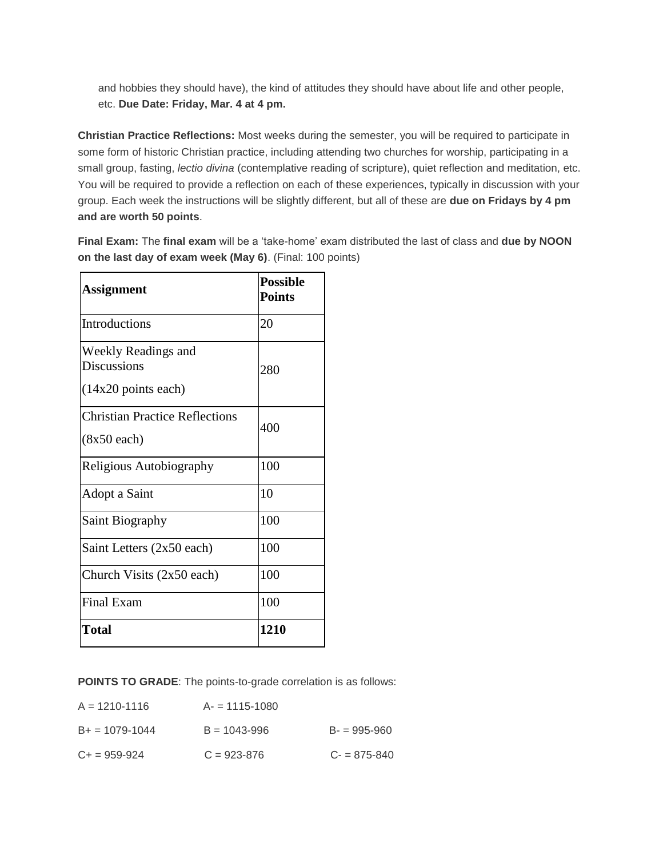and hobbies they should have), the kind of attitudes they should have about life and other people, etc. **Due Date: Friday, Mar. 4 at 4 pm.**

**Christian Practice Reflections:** Most weeks during the semester, you will be required to participate in some form of historic Christian practice, including attending two churches for worship, participating in a small group, fasting, *lectio divina* (contemplative reading of scripture), quiet reflection and meditation, etc. You will be required to provide a reflection on each of these experiences, typically in discussion with your group. Each week the instructions will be slightly different, but all of these are **due on Fridays by 4 pm and are worth 50 points**.

**Final Exam:** The **final exam** will be a 'take-home' exam distributed the last of class and **due by NOON on the last day of exam week (May 6)**. (Final: 100 points)

| <b>Assignment</b>                                           | <b>Possible</b><br><b>Points</b> |
|-------------------------------------------------------------|----------------------------------|
| Introductions                                               | 20                               |
| Weekly Readings and<br>Discussions<br>$(14x20$ points each) | 280                              |
| <b>Christian Practice Reflections</b><br>$(8x50$ each)      | 400                              |
| Religious Autobiography                                     | 100                              |
| Adopt a Saint                                               | 10                               |
| <b>Saint Biography</b>                                      | 100                              |
| Saint Letters (2x50 each)                                   | 100                              |
| Church Visits $(2x50 \text{ each})$                         | 100                              |
| Final Exam                                                  | 100                              |
| Total                                                       | 1210                             |

**POINTS TO GRADE**: The points-to-grade correlation is as follows:

| $A = 1210 - 1116$   | $A = 1115 - 1080$ |                 |
|---------------------|-------------------|-----------------|
| $B_+ = 1079 - 1044$ | $B = 1043 - 996$  | $B = 995 - 960$ |
| $C_{+}$ = 959-924   | $C = 923 - 876$   | $C = 875 - 840$ |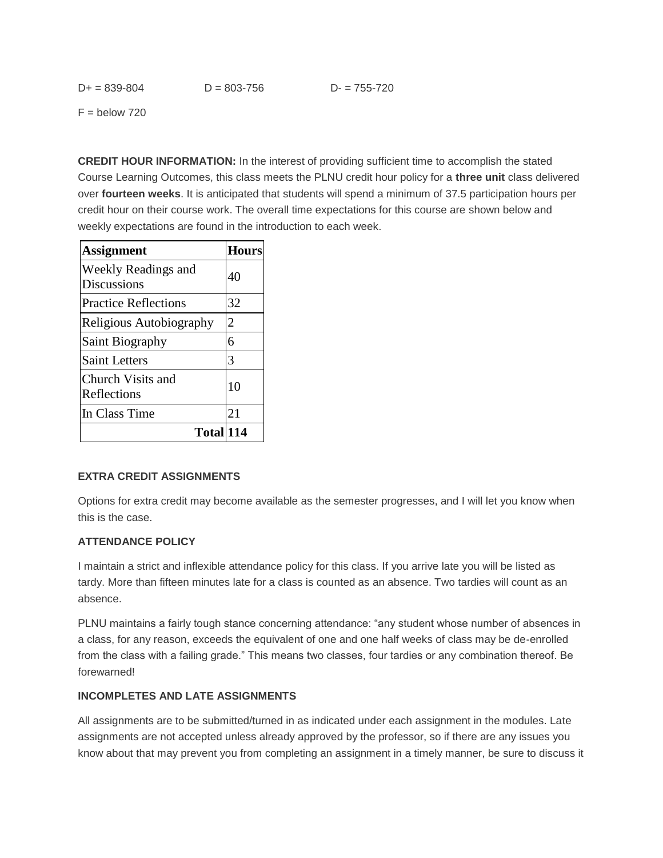$F =$  below 720

**CREDIT HOUR INFORMATION:** In the interest of providing sufficient time to accomplish the stated Course Learning Outcomes, this class meets the PLNU credit hour policy for a **three unit** class delivered over **fourteen weeks**. It is anticipated that students will spend a minimum of 37.5 participation hours per credit hour on their course work. The overall time expectations for this course are shown below and weekly expectations are found in the introduction to each week.

| <b>Assignment</b>                                | Hours |
|--------------------------------------------------|-------|
| <b>Weekly Readings and</b><br><b>Discussions</b> | 40    |
| <b>Practice Reflections</b>                      | 32    |
| Religious Autobiography                          | 2     |
| Saint Biography                                  | 6     |
| <b>Saint Letters</b>                             | 3     |
| Church Visits and<br>Reflections                 | 10    |
| In Class Time                                    | 21    |
| Total 114                                        |       |

#### **EXTRA CREDIT ASSIGNMENTS**

Options for extra credit may become available as the semester progresses, and I will let you know when this is the case.

#### **ATTENDANCE POLICY**

I maintain a strict and inflexible attendance policy for this class. If you arrive late you will be listed as tardy. More than fifteen minutes late for a class is counted as an absence. Two tardies will count as an absence.

PLNU maintains a fairly tough stance concerning attendance: "any student whose number of absences in a class, for any reason, exceeds the equivalent of one and one half weeks of class may be de-enrolled from the class with a failing grade." This means two classes, four tardies or any combination thereof. Be forewarned!

#### **INCOMPLETES AND LATE ASSIGNMENTS**

All assignments are to be submitted/turned in as indicated under each assignment in the modules. Late assignments are not accepted unless already approved by the professor, so if there are any issues you know about that may prevent you from completing an assignment in a timely manner, be sure to discuss it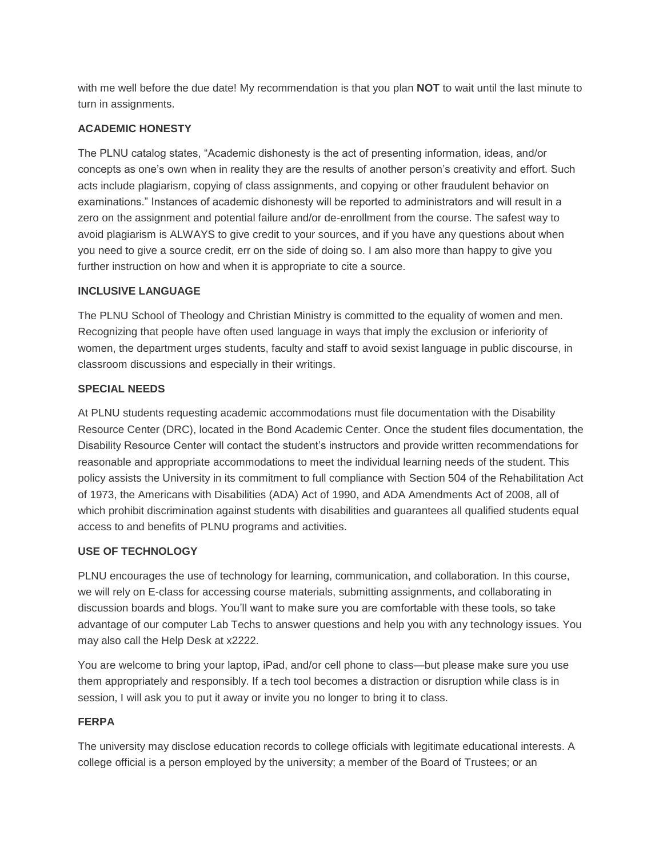with me well before the due date! My recommendation is that you plan **NOT** to wait until the last minute to turn in assignments.

#### **ACADEMIC HONESTY**

The PLNU catalog states, "Academic dishonesty is the act of presenting information, ideas, and/or concepts as one's own when in reality they are the results of another person's creativity and effort. Such acts include plagiarism, copying of class assignments, and copying or other fraudulent behavior on examinations." Instances of academic dishonesty will be reported to administrators and will result in a zero on the assignment and potential failure and/or de-enrollment from the course. The safest way to avoid plagiarism is ALWAYS to give credit to your sources, and if you have any questions about when you need to give a source credit, err on the side of doing so. I am also more than happy to give you further instruction on how and when it is appropriate to cite a source.

#### **INCLUSIVE LANGUAGE**

The PLNU School of Theology and Christian Ministry is committed to the equality of women and men. Recognizing that people have often used language in ways that imply the exclusion or inferiority of women, the department urges students, faculty and staff to avoid sexist language in public discourse, in classroom discussions and especially in their writings.

#### **SPECIAL NEEDS**

At PLNU students requesting academic accommodations must file documentation with the Disability Resource Center (DRC), located in the Bond Academic Center. Once the student files documentation, the Disability Resource Center will contact the student's instructors and provide written recommendations for reasonable and appropriate accommodations to meet the individual learning needs of the student. This policy assists the University in its commitment to full compliance with Section 504 of the Rehabilitation Act of 1973, the Americans with Disabilities (ADA) Act of 1990, and ADA Amendments Act of 2008, all of which prohibit discrimination against students with disabilities and guarantees all qualified students equal access to and benefits of PLNU programs and activities.

#### **USE OF TECHNOLOGY**

PLNU encourages the use of technology for learning, communication, and collaboration. In this course, we will rely on E-class for accessing course materials, submitting assignments, and collaborating in discussion boards and blogs. You'll want to make sure you are comfortable with these tools, so take advantage of our computer Lab Techs to answer questions and help you with any technology issues. You may also call the Help Desk at x2222.

You are welcome to bring your laptop, iPad, and/or cell phone to class—but please make sure you use them appropriately and responsibly. If a tech tool becomes a distraction or disruption while class is in session, I will ask you to put it away or invite you no longer to bring it to class.

#### **FERPA**

The university may disclose education records to college officials with legitimate educational interests. A college official is a person employed by the university; a member of the Board of Trustees; or an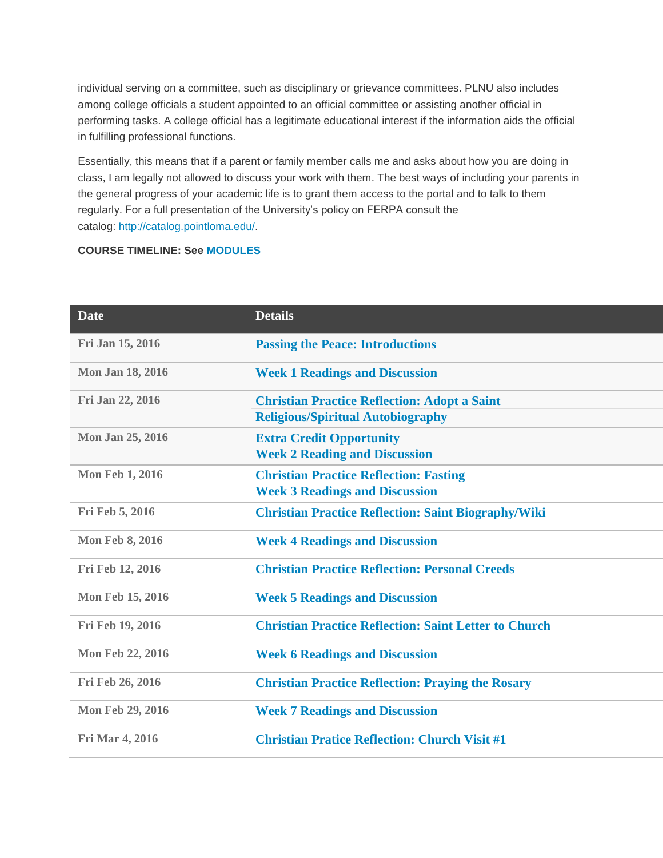individual serving on a committee, such as disciplinary or grievance committees. PLNU also includes among college officials a student appointed to an official committee or assisting another official in performing tasks. A college official has a legitimate educational interest if the information aids the official in fulfilling professional functions.

Essentially, this means that if a parent or family member calls me and asks about how you are doing in class, I am legally not allowed to discuss your work with them. The best ways of including your parents in the general progress of your academic life is to grant them access to the portal and to talk to them regularly. For a full presentation of the University's policy on FERPA consult the catalog: [http://catalog.pointloma.edu/.](http://catalog.pointloma.edu/)

## **COURSE TIMELINE: See [MODULES](https://canvas.pointloma.edu/courses/27129/modules)**

| <b>Date</b>             | <b>Details</b>                                                                                  |
|-------------------------|-------------------------------------------------------------------------------------------------|
| Fri Jan 15, 2016        | <b>Passing the Peace: Introductions</b>                                                         |
| Mon Jan 18, 2016        | <b>Week 1 Readings and Discussion</b>                                                           |
| Fri Jan 22, 2016        | <b>Christian Practice Reflection: Adopt a Saint</b><br><b>Religious/Spiritual Autobiography</b> |
| Mon Jan 25, 2016        | <b>Extra Credit Opportunity</b><br><b>Week 2 Reading and Discussion</b>                         |
| <b>Mon Feb 1, 2016</b>  | <b>Christian Practice Reflection: Fasting</b><br><b>Week 3 Readings and Discussion</b>          |
| Fri Feb 5, 2016         | <b>Christian Practice Reflection: Saint Biography/Wiki</b>                                      |
| <b>Mon Feb 8, 2016</b>  | <b>Week 4 Readings and Discussion</b>                                                           |
| Fri Feb 12, 2016        | <b>Christian Practice Reflection: Personal Creeds</b>                                           |
| <b>Mon Feb 15, 2016</b> | <b>Week 5 Readings and Discussion</b>                                                           |
| Fri Feb 19, 2016        | <b>Christian Practice Reflection: Saint Letter to Church</b>                                    |
| <b>Mon Feb 22, 2016</b> | <b>Week 6 Readings and Discussion</b>                                                           |
| Fri Feb 26, 2016        | <b>Christian Practice Reflection: Praying the Rosary</b>                                        |
| <b>Mon Feb 29, 2016</b> | <b>Week 7 Readings and Discussion</b>                                                           |
| <b>Fri Mar 4, 2016</b>  | <b>Christian Pratice Reflection: Church Visit #1</b>                                            |